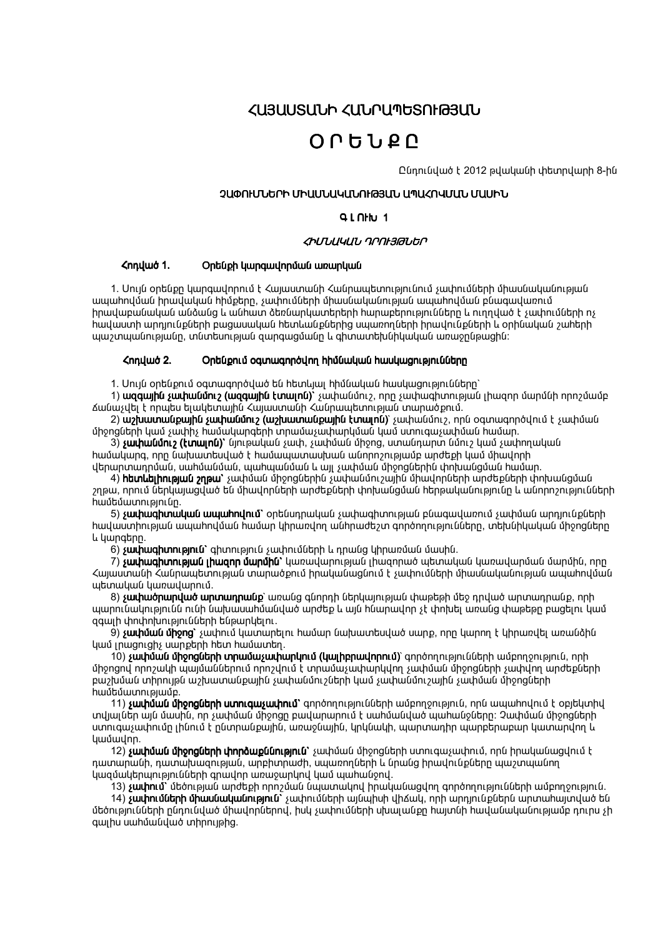**<U3UUSUUh <UUrU¶GSNF@3UU** 

# $0.05190$

Ընդունված է 2012 թվականի փետրվարի 8-ին

### շկծուՄՆԵՐԻ ՄԻԱՄՆԱԿԱՆՈւԹՅԱՆ ԱՊԱՀՈՎՄԱՆ ՄԱՍԻՆ

### $Q \mid \bigcap$ <sub>h</sub>

### ՀԻՄՆԱԿԱՆ ԴՐՈԷՅԹՆԵՐ

#### **<nnuud 1.** Ontiuph luunguulnnuuu ununluuu

1. Սույն օրենքը կարգավորում է Հայաստանի Հանրապետությունում չափումների միասնականության ապահովման իրավական հիմքերը, չափումների միասնականության ապահովման բնագավառում <u>իրավաբանական անձանց և անիատ ձեռնարկատերերի իարաբերությունները և ուրըված է չափումների ոչ</u> իավաստի արդյունքների բացասական հետևանքներից սպառողների իրավունքների և օրինական շահերի ww.tuwuuuunneeluun, muuntumeeluu qunquuquuun u qhuuunttuutuuuuuuuuu weynueuuntu:

#### **<nnuud 2.** Օրենքում օգտագործվող հիմնական հասկացությունները

1. Սույն օրենքում օգտագործված են hետելալ hիմնական hասկացությունները`

1) ազգային չափանմուշ (ազգային էտալոն)` չափանմուշ, որը չափագիտության լիազոր մարմնի որոշմամբ <u> Ճանաչվել է որպես ելակետային Հայաստանի Հանրապետության տարածքում.</u>

2) աշխատանքային չափանմուշ (աշխատանքային էտալոն)՝ չափանմուշ, որն օգտագործվում է չափման միջոցների կամ չափիչ համակարգերի տրամաչափարկման կամ ստուգաչափման համար.

3) **չափանմուշ (էտալոն)**՝ նյութական չափ, չափման միջոց, ստանդարտ նմուշ կամ չափողական hամակարգ, որը նախատեսված է hամապատասխան անորոշությամբ արժեքի կամ միավորի վերարտադրման, սահմանման, պահպանման և այլ չափման միջոցներին փոխանցման համար.

4) html tinne pu 3 չափման միջոցներին չափանմուշային միավորների արժեքների փոխանցման շղթա, որում ներկայացված են միավորների արժեքների փոխանցման հերթականությունը և անորոշությունների hամեմատությունը.

5) **չափագիտական ապահովում`** օրենսդրական չափագիտության բնագավառում չափման արդյունքների իավաստիության ապահովման իամար կիրառվող անհրաժեշտ գործողությունները, տեխնիկական միջոցները L ywngtnn.

6) **sափագիտություն`** գիտություն չափումների և դրանց կիրառման մասին.

7) **չափագիտության լիազոր մարմին`** կառավարության լիազորած պետական կառավարման մարմին, որը Հայաստանի Հանրապետության տարածքում իրականացնում է չափումների միասնականության ապահովման աետական կառավարում.

8) **չափածոարված արտադրանք**՝ առանց գնորդի ներկայության փաթեթի մեջ դրված արտադրանք, որի պարունակությունն ունի նախասաիմանված արժեք և այն ինարավոր չէ փոխել առանց փաթեթը բացելու կամ ggwih փոփոխությունների ենթարկելու.

9) **չափման միջոց`** չափում կատարելու համար նախատեսված սարք, որը կարող է կիրառվել առանձին uwu inwanigh, uwnpanh haw hwuwunan.

10) **չափման միջոցների տրամաչափարկում (կայիբրավորում)**՝ գործողությունների ամբողջություն, որի միջոցով որոշակի պայմաններում որոշվում է տրամաչափարկվող չափման միջոցների չափվող արժեքների puzzuudi un nulle uzzuunud upun kuntu suunud on 20 km kuus suunud on 20 km kuntud on pugustin hwubuwnnnig

11) **չափման միջոցների ստուգաչափում`** գործողությունների ամբողջություն, որն ապահովում է օբյեկտիվ տվյալներ այն մասին, որ չափման միջոցը բավարարում է սաիմանված պահանջները։ Չափման միջոցների ստուգաչափումը լինում է ընտրանքային, առաջնային, կրկնակի, պարտադիր պարբերաբար կատարվող և **Luuouulnn.** 

12) **sափման միջոցների փորձաքննություն`** չափման միջոցների ստուգաչափում, որն իրականացվում է ոատարանի, դատախացության, արբիտրաժի, սաառորների և նրանց իրավունքները ապշտաանոր կացմակերպությունների գրավոր առաջարկով կամ պահանջով.

13) **չափում`** մեծության արժեքի որոշման նպատակով իրականացվող գործողությունների ամբողջություն.

14) **չափումների միասնականություն`** չափումների այնպիսի վիճակ, որի արդյունքներն արտահայտված են մեծությունների ընդունված միավորներով, իսկ չափումների սխալանքը հայտնի հավանականությամբ դուրս չի quinu umhumuuduwo unnnulahg.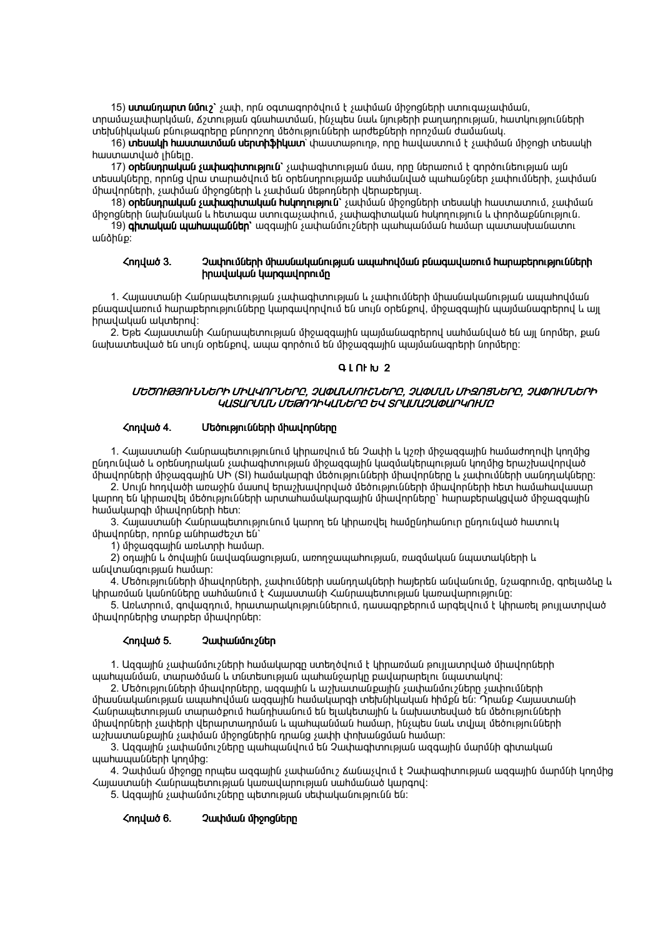#### **<nnuud 6.** Չափման միջոցները

hwunwunywo լինելը.

**<nnuud 3.** 

իրավական ակտերով:

միավորներ, որոնք անիրաժեշտ են՝ 1) միջացգային առևտրի hամար.

้นเน็นโมกนเน็ตที่เคเนนั้น hนับเงินเทิ

wuàhup:

5. Ազգային չափանմուշները պետության սեփականությունն են:

Հայաստանի Հանրապետության կառավարության սահմանած կարգով:

4. Չափման միջոցը որպես ազգային չափանմուշ Ճանաչվում է Չափագիտության ազգային մարմնի կողմից

3. Ազգային չափանմուշները պահպանվում են Չափագիտության ազգային մարմնի գիտական պաիապանների կողմից:

աշխատանքային չափման միջոցներին դրանց չափի փոխանցման համար:

միավորների չափերի վերարտադրման և պահպանման համար, ինչպես նաև տվյալ մեծությունների

պաիպանման, տարածման և տնտեսության պաիանջարկը բավարարելու նպատակով: 2. Մեծությունների միավորները, ազգային և աշխատանքային չափանմուշները չափումների միասնականության ապահովման ազգային համակարգի տեխնիկական հիմքն են։ Դրանք Հայաստանի Հանրապետության տարածքում հանդիսանում են ելակետային և նախատեսված են մեծությունների

1. Ազգային չափանմուշների համակարգը ստեղծվում է կիրառման թույլատրված միավորների

**<nnuud 5.** Չափանմուշներ

5. Առևտրում, գովազդում, իրատարակություններում, դասագրքերում արգելվում է կիրառել թույլատրված միավորներից տարբեր միավորներ:

կիրառման կանոնները սահմանում է Հայաստանի Հանրապետության կառավարությունը։

2) օդային և ծովային նավագնացության, առողջապաիության, ռազմական նպատակների և

## hwuuunah uhwunnutnh htm: 3. Հայաստանի Հանրապետությունում կարող են կիրառվել համընդիանուր ընդունված հատուկ

4. Մեծությունների միավորների, չափումների սանդղակների հայերեն անվանումը, նշագրումը, գրելաձևը և

կարող են կիրառվել մեծությունների արտահամակարգային միավորները` հարաբերակցված միջազգային

2. Սույն hոդվածի առաջին մասով երաշխավորված մեծությունների միավորների հետ համահավասար

1. Հայաստանի Հանրապետությունում կիրառվում են Չափի և կշռի միջազգային համաժողովի կողմից րնդունված և օրենսդրական չափագիտության միջազգային կազմակերպության կողմից երաշխավորված միավորների միջազգային UԻ (SI) համակարգի մեծությունների միավորները և չափումների սանդղակները:

ԿԱՏԱՐՄԱՆ ՄԵԹՈԴԻԿԱՆԵՐԸ ԵՎ ՏՐԱՄԱՉԱՓԱՐԿՈԽՄԸ <nnuud 4. Մեծությունների միավորները

## ՄԵԾՈΗԹՅՈΗՆՆԵՐԻ ՄԻԱՎՈՐՆԵՐԸ, ՉԱՓԱՆՄՈԻՇՆԵՐԸ, ՉԱՓՄԱՆ ՄԻԶՈՑՆԵՐԸ, ՉԱՓՈΗՄՆԵՐԻ

նախատեսված են սույն օրենքով, ապա գործում են միջազգային պայմանագրերի նորմերը:

ununnutann, suuhuuu uhongutann u suuhuuu utaannutann utanuntanuu.

իրավական կարգավորումը

# $9L$   $N$ <sub> $N$ </sub> $2$

2. Եթե Հայաստանի Հանրապետության միջազգային պայմանագրերով սահմանված են այլ նորմեր, քան

15) unulnunn lun, ' suuh, nnu oqunuqnnoynu t suuhuul uhonglunh unnuqusuuhulul, տրամաչափարկման, Ճշտության գնաիատման, ինչաես նաև նյութերի բաղադրության, իատկությունների տեխնիկական բնութագրերը բնորոշող մեծությունների արժեքների որոշման ժամանակ.

17) **օրենսդրական չափագիտություն`** չափագիտության մաս, որը ներառում է գործունեության այն տեսակները, որոնց վրա տարածվում են օրենսդրությամբ սահմանված պահանջներ չափումների, չափման

16) տեսակի hաստատման սերտիֆիկատ՝ փաստաթուղթ, որը hավաստում է չափման միջոցի տեսակի

18) ont նսդրական չափագիտական huկnnnւթյուն՝ չափման միջոցների տեսակի hաստատում, չափման միջոցների նախնական և հետագա ստուգաչափում, չափագիտական հսկողություն և փորձաքննություն. 19) գիտական պահապաններ` ազգային չափանմուշների պահպանման համար պատասխանատու

1. Հայաստանի Հանրապետության չափագիտության և չափումների միասնականության ապահովման բնագավառում հարաբերությունները կարգավորվում են սույն օրենքով, միջազգային պայմանագրերով և այլ

Չափումների միասնականության ապահովման բնագավառում հարաբերությունների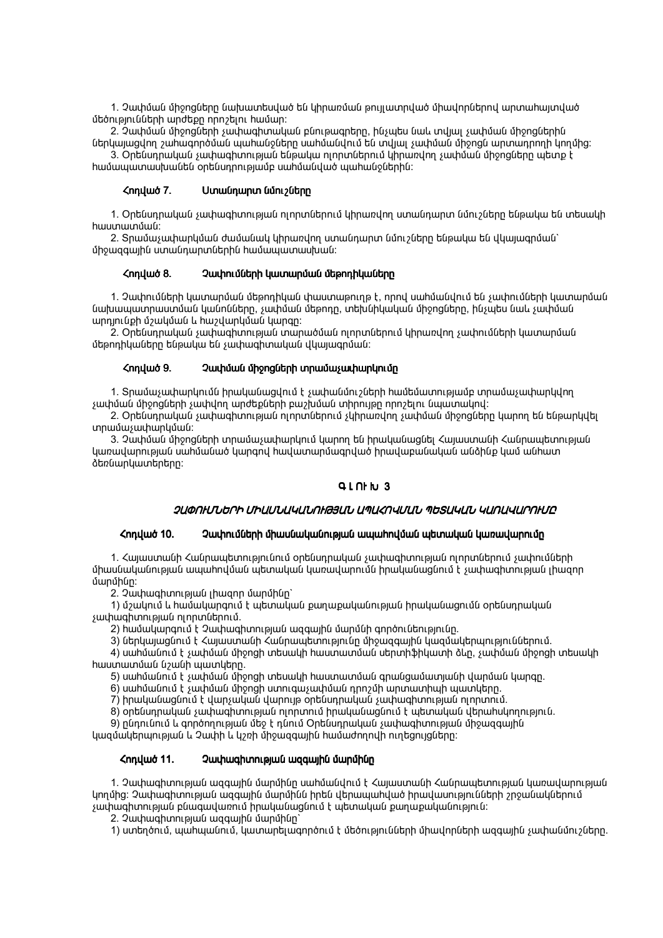1. Չափման միջոցները նախատեսված են կիրառման թույլատրված միավորներով արտահայտված  $\frac{1}{2}$   $\frac{1}{2}$   $\frac{1}{2}$   $\frac{1}{2}$   $\frac{1}{2}$   $\frac{1}{2}$   $\frac{1}{2}$   $\frac{1}{2}$   $\frac{1}{2}$   $\frac{1}{2}$   $\frac{1}{2}$   $\frac{1}{2}$   $\frac{1}{2}$   $\frac{1}{2}$   $\frac{1}{2}$   $\frac{1}{2}$   $\frac{1}{2}$   $\frac{1}{2}$   $\frac{1}{2}$   $\frac{1}{2}$   $\frac{1}{2}$   $\frac{1}{2}$ 

2. Չափման միջոցների չափագիտական բնութագրերը, ինչպես նաև տվյալ չափման միջոցներին ներկայացվող շահագործման պահանջները սահմանվում են տվյալ չափման միջոցն արտադրողի կողմից։

 $\alpha$ . Ont Gunnull of such was not well as  $\alpha$  in the such a line of the such such such a such that  $\alpha$  is not the  $\alpha$  $\mu$ իամապատասխանեն օրենսորությամբ սահմանված պահանջներին:

### $\mathcal{L}$ nnulu  $\delta$  7. Unulununun (

1. Օրենսդրական չափագիտության ոլորտներում կիրառվող ստանդարտ նմուշները ենթակա են տեսակի hwunwunuun.

2. Տրամաչափարկման ժամանակ կիրառվող ստանդարտ նմուշները ենթակա են վկայագրման` ungqwjhu unwunwnuthhu hwuwwwwwit

### Հոդված 8. 2 ափումների կատարման մեթոդիկաները

1. Չափումների կատարման մեթոդիկան փաստաթուղթ է, որով սահմանվում են չափումների կատարման նախապատրաստման կանոնները, չափման մեթոդը, տեխնիկական միջոցները, ինչպես նաև չափման wnnin նքի մշակման և hwշվարկման կարգը:

2. Օրենսդրական չափագիտության տարածման ոլորտներում կիրառվող չափումների կատարման utponhuwuton tupuuu tu yuunuqhuuuuuuu uuunuqnuuu:

### $\zeta$ ոդված 9. 2ափման միջոցների տրամաչափարկումը

1. Տրամաչափարկումն իրականացվում է չափանմուշների hամեմատությամբ տրամաչափարկվող  $\epsilon$ ափման միջոցների չափվող արժեքների բաշխման տիրույթը որոշելու նպատակով։

2. Ontնunnական չափագիտության ոլորտներում չկիրառվող չափման միջոցները կարող են ենթարկվել  $unnu$ մա $sum$   $unnu$ 

3. Չափման միջոցների տրամաչափարկում կարող են իրականացնել Հայաստանի Հանրապետության կառավարության սահմանած կարգով հավատարմագրված իրավաբանական անձինք կամ անհատ  $dt$  :  $dt$  of the number of the  $\sinh$ 

### $Q$  |  $Q$   $h$   $h$   $3$

### ՉԱՓՈͰՄՆԵՐԻ ՄԻԱՍՆԱԿԱՆՈͰԹՅԱՆ ԱՊԱՀՈՎՄԱՆ ՊԵՏԱԿԱՆ ԿԱՌԱԿԱՐՈͰՄԸ

### <u>Հոդված 10. 2ափումների միասնականության ապահովման պետական կառավարումը</u>

1. Հայաստանի Հանրապետությունում օրենսդրական չափագիտության ոլորտներում չափումների միասնականության ապահովման աետական կառավարումն իրականացնում է չափագիտության լիացոր  $\dim$  $\dim$ :

 $2.$  Չափագիտության լիազոր մարմինը`

1) մշակում և hամակարգում է պետական քաղաքականության իրականացումն օրենսդրական  $\mu$  yuu huu qhun na muu na muu na muu na muu na muu na muu na muu na muu na muu na muu na muu na muu na muu na muu na muu na muu na muu na muu na muu na muu na muu na muu na muu na muu na muu na muu na muu na muu na muu

.<br>2) hwմակարգում է Չափագիտության ացգային մարմնի գործունեությունը.

3) ներկայացնում է Հայաստանի Հանրապետությունը միջազգային կազմակերպություններում.

 $4)$  սաիմանում է չափման միջոցի տեսակի իաստատման սերտիֆիկատի ձևը, չափման միջոցի տեսակի  $h$  hwunwunung  $a_2$  by  $a_3$  and  $a_4$  a  $a_5$  and  $a_6$  and  $a_7$  and  $a_8$  are  $a_9$  and  $a_1$ 

5) սահմանում է չափման միջոցի տեսակի հաստատման գրանցամատյանի վարման կարգր.

 $6)$  սաիմանում է չափման միջոցի ստուցաչափման դրոշմի արտատիաի պատկերը.

7) իրականացնում է վարչական վարույթ օրենսդրական չափագիտության ոլորտում.

 $8)$  օրենսդրական չափագիտության ոլորտում իրականացնում է պետական վերահսկողություն.

9) ընդունում և գործողության մեջ է դնում Օրենսդրական չափագիտության միջազգային

կազմակերպության և Չափի և կշռի միջազգային համաժողովի ուղեցույցները:

### 11 11. & 1"4 B14 2#26 & 1"4 B14 2#26& 2#26

1. Չափագիտության ազգային մարմինը սահմանվում է Հայաստանի Հանրապետության կառավարության կողմից։ Չափագիտության ազգային մարմինն իրեն վերապահված իրավասությունների շրջանակներում չափագիտության բնագավառում իրականացնում է պետական քաղաքականություն:

 $2.$  2  $\mu$  hughun public under the 1 m and help

1) ստեղծում, պահպանում, կատարելագործում է մեծությունների միավորների ազգային չափանմուշները.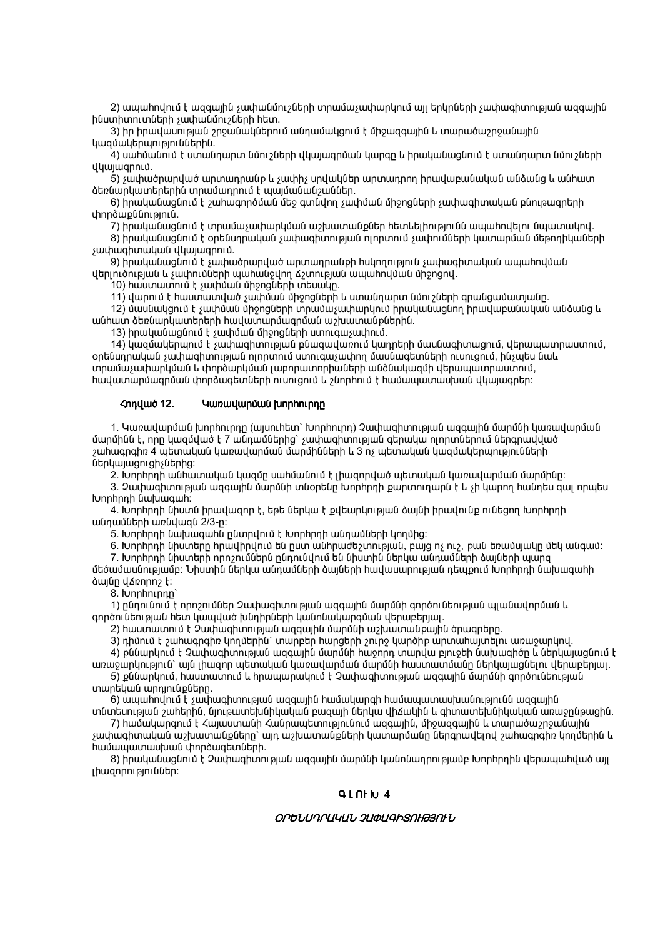2) ապահովում է ազգային չափանմուշների տրամաչափարկում այլ երկրների չափագիտության ազգային huunhunuunutanh suuhuuun olan haun.

3) իր իրավասության շրջանակներում անդամակցում է միջազգային և տարածաշրջանային կազմակերպություններին.

4) սահմանում է ստանդարտ նմուշների վկայագրման կարգը և իրականացնում է ստանդարտ նմուշների վկայագրում.

5) չափածրարված արտադրանք և չափիչ սրվակներ արտադրող իրավաբանական անձանց և անիատ ծեռնարկատերերին տրամառորւմ է աայմանանշաններ,

6) իրականացնում է շահագործման մեջ գտնվող չափման միջոցների չափագիտական բնութագրերի փորձաքննություն.

7) իրականացնում է տրամաչափարկման աշխատանքներ հետևելիությունն ապահովելու նպատակով. 8) իրականացնում է օրենսդրական չափագիտության ոլորտում չափումների կատարման մեթոդիկաների

չափագիտական վկայագրում.

9) իրականացնում է չափածրարված արտադրանքի huկողություն չափագիտական ապահովման վերլուծության և չափումների պահանջվող Ճշտության ապահովման միջոցով.

10) hաստատում է չափման միջոցների տեսակը.

11) վարում է hաստատված չափման միջոցների և ստանդարտ նմուշների գրանցամատյանը.

12) մասնակցում է չափման միջոցների տրամաչափարկում իրականացնող իրավաբանական անձանց և անիատ ծեռնարկատերերի հավատարմագրման աշխատանքներին.

13) իրականացնում է չափման միջոցների ստուցաչափում.

14) կազմակերպում է չափագիտության բնագավառում կադրերի մասնագիտացում, վերապատրաստում, օրենսդրական չափագիտության ոլորտում ստուգաչափող մասնագետների ուսուցում, ինչպես նաև տրամաչափարկման և փորձարկման լաբորատորիաների անձնակազմի վերապատրաստում, hավատարմագրման փորձագետների ուսուցում և շնորհում է համապատասխան վկայագրեր:

#### **<nnuud 12.** Կառավարման խորիուրդը

1. Կառավարման խորհուրդը (այսուհետ` խորհուրդ) Չափագիտության ազգային մարմնի կառավարման մարմինն է, որը կազմված է 7 անդամներից` չափագիտության գերակա ոլորտներում ներգրավված շահագրգիռ 4 պետական կառավարման մարմինների և 3 ոչ պետական կազմակերպությունների utinumumumum

2. Խորիրդի անիատական կազմը սաիմանում է լիացորված պետական կառավարման մարմինը:

3. Չափագիտության ազգային մարմնի տնօրենը Խորիրդի քարտուղարն է և չի կարող հանդես գալ որպես lunnhnnh uwwww.

4. Խորիրդի նիստն իրավազոր է, եթե ներկա է քվեարկության ծայնի իրավունք ունեցող Խորիրդի անդամների առնվազն 2/3-ը:

5. Խորիրդի նախագահն ընտրվում է Խորիրդի անդամների կողմից:

6. Խորիրդի նիստերը հրավիրվում են ըստ անհրաժեշտության, բայց ոչ ուշ, քան եռամսյակը մեկ անգամ։

7. Խորիրդի նիստերի որոշումներն ընդունվում են նիստին ներկա անդամների ծայների պարզ մեծամասնությամբ։ Նիստին ներկա անդամների ձայների իավասարության ռեաքում խորիրդի նախագաիի dwin yannn? t:

8. lunnhnunnn

1) ընդունում է որոշումներ Չափագիտության ազգային մարմնի գործունեության պլանավորման և գործունեության հետ կապված խնդիրների կանոնակարգման վերաբերյալ.

2) hաստատում է Չափագիտության ազգային մարմնի աշխատանքային ծրագրերը.

3) դիմում է շահագրգիռ կողմերին` տարբեր իարգերի շուրջ կարծիք արտահայտելու առաջարկով.

4) քննարկում է Չափագիտության ազգային մարմնի հաջորդ տարվա բյուջեի նախագիծը և ներկայացնում է առաջարկություն` այն լիազոր պետական կառավարման մարմնի հաստատմանը ներկայացնելու վերաբերյալ.

5) քննարկում, հաստատում և հրապարակում է Չափագիտության ազգային մարմնի գործունեության տարեկան արդյունքները.

6) ապահովում է չափագիտության ազգային համակարգի համապատասխանությունն ազգային տնտեսության շահերին, նյութատեխնիկական բազայի ներկա վիձակին և գիտատեխնիկական առաջընթացին.

7) hամակարգում է Հայաստանի Հանրապետությունում ազգային, միջազգային և տարածաշրջանային չափագիտական աշխատանքները` այդ աշխատանքների կատարմանը ներգրավելով շահագրգիռ կողմերին և hամապատասխան փորձագետների.

8) իրականացնում է Չափագիտության ազգային մարմնի կանոնադրությամբ Խորիրդին վերապահված այլ լիազորություններ:

### **QLNHU4**

### ՕՐԵՆՍԴՐԱԿԱՆ ՉԱՓԱԳԻՏՈՒԹՅՈՒՆ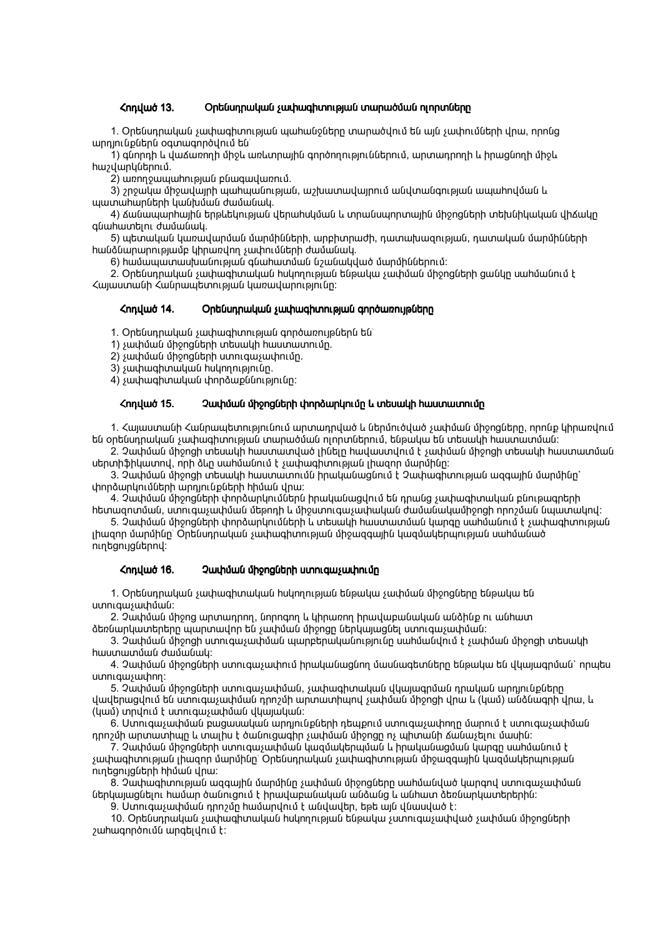### 13 13. #!7# 9 1"4 "#2 F#"!# "#2 F#"!# F#"!#6

1. Ontնսորական չափագիտության աաիանջները տարածվում են այն չափումների վրա, որընց wnnintuputnu oqunwqnnoyntu tu

1) գնորդի և վաՃառողի միջև առևտրային գործողություններում, արտադրողի և իրացնողի միջև :A#!#2.

 $\overline{2}$ ) առողջապահության բնագավառում.

 $3)$  շրջակա միջավայրի ապիաանության, աշխատավայրում անվտանգության ապաիրվման և www.muhunutah yuuthuuu duutuuu.

4) Ճանապարհային երթևեկության վերահսկման և տրանսպորտային միջոցների տեխնիկական վիճակը quuhuuntini duuuuuul.

5) պետական կառավարման մարմինների, արբիտրաժի, դատախազության, դատական մարմինների hանձնարարությամբ կիրառվող չափումների ժամանակ.

 $6)$  hwwwwwww.bullumangula quantumangula a 200 km and the phalomenand:

2. Oրենսդրական չափագիտական huկողության ենթակա չափման միջոցների ցանկը սահմանում է Հայաստանի Հանրապետության կառավարությունը:

### <nnyut 14. Ontunnuyuu suuhuqhunupuu qnnownuputnn

1. Ontiunnuluul suuhuuqhunupuul qnnownnuplutnu

 $1)$  suuhuuu uhongutnh untuuuh huuunuunnun.

 $2)$  s ափման միջոցների ստուգա չափումը.

3) swyhwqhunwywu huynnnuppniun.

 $4)$  չափագիտական փորձաքննությունը:

### Հոդված 15. 2ափման միջոցների փորձարկումը և տեսակի hաստատումը

1. Հայաստանի Հանրապետությունում արտադրված և ներմուծված չափման միջոցները, որոնք կիրառվում են օրենսդրական չափագիտության տարածման ոլորտներում, ենթակա են տեսակի հաստատման։

 $2.$  Չափման միջոցի տեսակի հաստատված լինելը հավաստվում է չափման միջոցի տեսակի հաստատման uերտիֆիկատով, որի ձևը սահմանում է չափագիտության լիացոր մարմինը:

3. Չափման միջոցի տեսակի հաստատումն իրականացնում է Չափագիտության ազգային մարմինը` փորձարկումների արդյունքների hիման վրա:

4. Չափման միջոցների փորձարկումներն իրականացվում են դրանց չափագիտական բնութագրերի hետացոտման, ստուգաչափման մեթոդի և միջստուգաչափական ժամանակամիջոցի որոշման նաատակով։

5. Չափման միջոցների փորձարկումների և տեսակի հաստատման կարգը սահմանում է չափագիտության լիազոր մարմինը` Օրենսդրական չափագիտության միջազգային կազմակերպության սահմանած nintgnijgutnny:

### ζηηιμιό 16. 2 Μιμύμι ύρρης 16 Μιση 2010 μεταφαιρισμές

1. Ontնսդրական չափագիտական huկnnnւթյան ենթակա չափման միջոցները ենթակա են uunniquisuuhuuli:

2. Չափման միջոց արտադրող, նորոգող և կիրառող իրավաբանական անձինք ու անհատ <u>ծեռնարկատերերը պարտավոր են չափման միջոզը ներկայացնել ստուգաչափման։</u>

 $3.$  Չափման միջոցի ստուցաչափման պարբերականությունը սաիմանվում է չափման միջոցի տեսակի hwunwunuun dwuuunuu

4. Չափման միջոցների ստուգաչափում իրականացնող մասնագետները ենթակա են վկալագրման` որպես uunniquisuuhnn:

5. Չափման միջոցների ստուգաչափման, չափագիտական վկայագրման դրական արդյունքները վավերացվում են ստուգաչափման դրոշմի արտատիպով չափման միջոցի վրա և (կամ) անձնագրի վրա, և  $($ uma $)$  innuntu t unniquitum and uniquity dynamics.

6. Ստուգաչափման բացասական արդյունքների դեպքում ստուգաչափողը մարում է ստուգաչափման դրոշմի արտատիպը և տալիս է ծանուցագիր չափման միջոցը ոչ պիտանի Ճանաչելու մասին։

7. Չափման միջոցների ստուցաչափման կազմակերպման և իրականացման կարգը սաիմանում է չափագիտության լիազոր մարմինը` Օրենսդրական չափագիտության միջազգային կազմակերպության nıntıgnı gütin hhu au you:

8. Չափագիտության ազգային մարմինը չափման միջոցները սահմանված կարգով ստուգաչափման ներկայացնելու hամար ծանուցում է իրավաբանական անձանց և անիատ ձեռնարկատերերին։

9. Ստուգաչափման դրոշմը hամարվում է անվավեր, եթե այն վնասված է:

10. Օրենսդրական չափագիտական huկnղnւթյան ենթակա չստnւգաչափված չափման միջոցների  $2$  whwannon in the unabid number.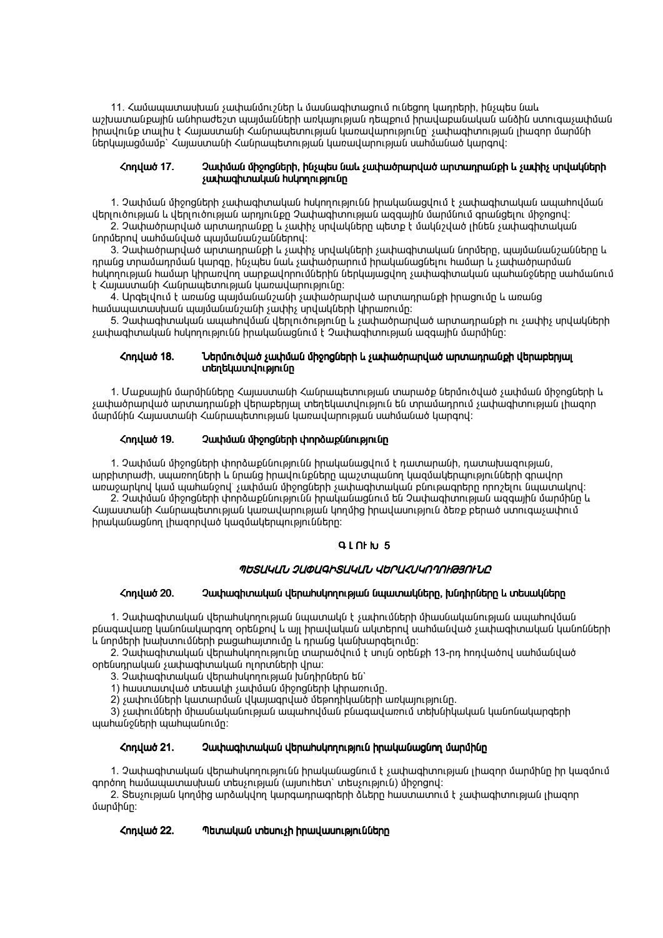11. Համապատասխան չափանմուշներ և մասնագիտացում ունեցող կադրերի, ինչպես նաև աշխատանքային անհրաժեշտ պայմանների առկայության դեպքում իրավաբանական անձին ստուգաչափման իրավունք տալիս է Հայաստանի Հանրապետության կառավարությունը՝ չափագիտության լիազոր մարմնի ներկայացմամբ` Հայաստանի Հանրապետության կառավարության սահմանած կարգով:

### Չափման միջոցների, ինչպես նաև չափածրարված արտադրանքի և չափիչ սրվակների *<mquot 17.* չափագիտական huկnnnւթյունը

1. Չափման միջոցների չափագիտական հսկողությունն իրականացվում է չափագիտական ապահովման վերլուծության և վերլուծության արդյունքը Չափագիտության ազգային մարմնում գրանցելու միջոցով։

2. Չափածրարված արտադրանքը և չափիչ սրվակները պետք է մակնշված լինեն չափագիտական նորմերով սահմանված պայմանանշաններով:

3. Չափածրարված արտադրանքի և չափիչ սրվակների չափագիտական նորմերը, պայմանանշանները և դրանց տրամադրման կարգը, ինչպես նաև չափածրարում իրականացնելու համար և չափածրարման հսկողության համար կիրառվող սարքավորումներին ներկայացվող չափագիտական պահանջները սահմանում է Հայաստանի Հանրապետության կառավարությունը:

4. Արգելվում է առանց պայմանանշանի չափածրարված արտադրանքի իրացումը և առանց hամապատասխան պայմանանշանի չափիչ սրվակների կիրառումը:

5. Չափագիտական ապահովման վերլուծությունը և չափածրարված արտադրանքի ու չափիչ սրվակների չափագիտական հսկողությունն իրականացնում է Չափագիտության ազգային մարմինը:

### Ներմուծված չափման միջոցների և չափածրարված արտադրանքի վերաբերյալ **<nnuud 18.** տեղեկատվությունը

1. Մաքսային մարմինները Հայաստանի Հանրապետության տարածք ներմուծված չափման միջոցների և չափածրարված արտադրանքի վերաբերյալ տեղեկատվություն են տրամադրում չափագիտության լիազոր մարմնին Հայաստանի Հանրապետության կառավարության սահմանած կարգով:

#### **<nnuud 19.** Չափման միջոցների փորձաքննությունը

1. Չափման միջոցների փորձաքննությունն իրականացվում է դատարանի, դատախազության, արբիտրաժի, սպառողների և նրանց իրավունքները պաշտպանող կազմակերպությունների գրավոր առաջարկով կամ պահանջով՝ չափման միջոցների չափագիտական բնութագրերը որոշելու նպատակով:

2. Չափման միջոցների փորձաքննությունն իրականացնում են Չափագիտության ազգային մարմինը և Հայաստանի Հանրապետության կառավարության կողմից իրավասություն ծեռք բերած ստուգաչափում իրականացնող լիազորված կազմակերպությունները:

### **GLNHU5**

## ՊԵՏԱԿԱՆ ՉԱՓԱԳԻՏԱԿԱՆ ՎԵՐԱՀՍԿՈՂՈՒԹՅՈՒՆԸ

#### **<nnuud 20.** Չափագիտական վերահսկողության նպատակները, խնդիրները և տեսակները

1. Չափագիտական վերահսկողության նպատակն է չափումների միասնականության ապահովման բնագավառը կանոնակարգող օրենքով և այլ իրավական ակտերով սահմանված չափագիտական կանոնների և նորմերի խախտումների բացահայտումը և դրանց կանխարգելումը:

2. Չափագիտական վերահսկողությունը տարածվում է սույն օրենքի 13-րդ հոդվածով սահմանված oրենսդրական չափագիտական ոլորտների վրա:

3. Չափագիտական վերահսկողության խնդիրներն են`

1) hաստատված տեսակի չափման միջոցների կիրառումը.

2) չափումների կատարման վկայագրված մեթոդիկաների առկայությունը.

3) չափումների միասնականության ապահովման բնագավառում տեխնիկական կանոնակարգերի պահանջների պահպանումը:

#### <nnuwo 21. Չափագիտական վերահսկողություն իրականացնող մարմինը

1. Չափագիտական վերահսկողությունն իրականացնում է չափագիտության լիազոր մարմինը իր կազմում գործող համապատասխան տեսչության (այսուհետ` տեսչություն) միջոցով:

2. Տեսչության կողմից արձակվող կարգադրագրերի ձևերը հաստատում է չափագիտության լիազոր մարմինը:

#### ζηημωσ 22. Պետական տեսուչի իրավասությունները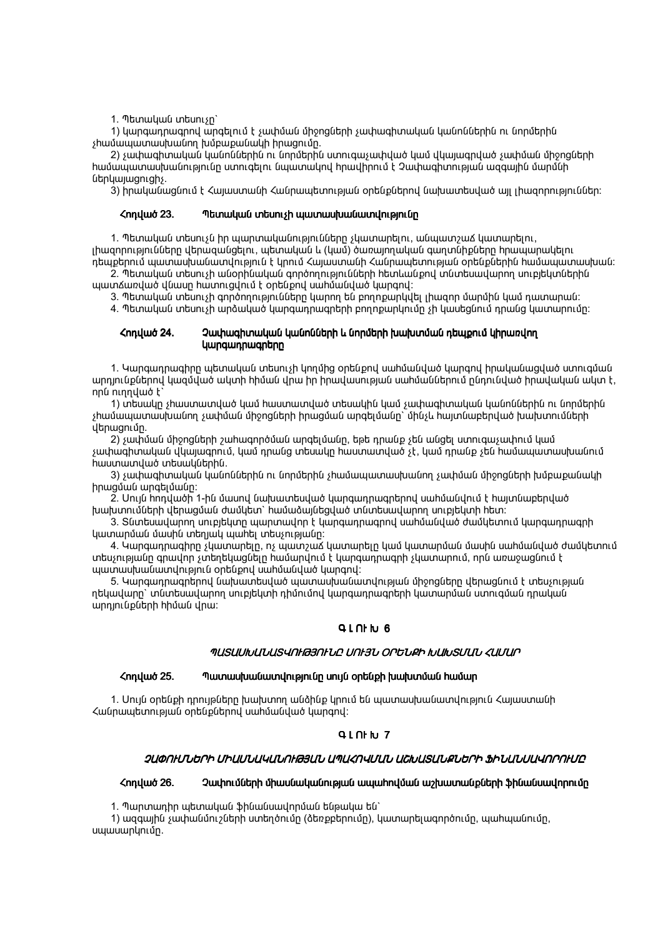1. Պետական տեսուչը`

1) կարգադրագրով արգելում է չափման միջոցների չափագիտական կանոններին ու նորմերին չիամապատասխանող խմբաքանակի իրացումը.

2) չափագիտական կանոններին ու նորմերին ստուգաչափված կամ վկայագրված չափման միջոցների hամապատասխանությունը ստուգելու նպատակով hրավիրում է Չափագիտության ազգային մարմնի ներկայացուցիչ.

3) իրականացնում է Հայաստանի Հանրապետության օրենքներով նախատեսված այլ լիազորություններ:

#### **<nnuud 23.** Պետական տեսուչի պատասխանատվությունը

1. Պետական տեսուչն իր պարտականությունները չկատարելու, անպատշաՃ կատարելու,

լիազորությունները վերազանցելու, պետական և (կամ) ծառայողական գաղտնիքները հրապարակելու դեպքերում պատասխանատվություն է կրում Հայաստանի Հանրապետության օրենքներին համապատասխան։ 2. Պետական տեսուչի անօրինական գործողությունների հետևանքով տնտեսավարող սուբյեկտներին

պատՃառված վնասը hատուցվում է օրենքով սահմանված կարգով:

3. Պետական տեսուչի գործողությունները կարող են բողոքարկվել լիազոր մարմին կամ դատարան:

4. Պետական տեսուչի արձակած կարգադրագրերի բողոքարկումը չի կասեցնում դրանց կատարումը։

### **<nnuud 24.** Չափագիտական կանոնների և նորմերի խախտման դեպքում կիրառվող **կարգադրագրերը**

1. Կարգադրագիրը պետական տեսուչի կողմից օրենքով սահմանված կարգով իրականացված ստուգման արդյունքներով կազմված ակտի հիման վրա իր իրավասության սահմաններում ընդունված իրավական ակտ է, nnu ninnyuió t

1) տեսակը չիաստատված կամ հաստատված տեսակին կամ չափագիտական կանոններին ու նորմերին չիամապատասխանող չափման միջոցների իրացման արգելմանը` մինչև իայտնաբերված խախտումների վերացումը.

2) չափման միջոցների շահագործման արգելմանը, եթե դրանք չեն անցել ստուգաչափում կամ չափագիտական վկայագրում, կամ դրանց տեսակը հաստատված չէ, կամ դրանք չեն համապատասխանում hաստատված տեսակներին.

3) չափագիտական կանոններին ու նորմերին չիամապատասխանող չափման միջոցների խմբաքանակի իրացման արգելմանը:

2. Սույն hոդվածի 1-ին մասով նախատեսված կարգադրագրերով սահմանվում է hայտնաբերված խախտումների վերացման ժամկետ` համաձայնեցված տնտեսավարող սուբյեկտի հետ:

3. Տնտեսավարող սուբյեկտը պարտավոր է կարգադրագրով սահմանված ժամկետում կարգադրագրի կատարման մասին տեղյակ պահել տեսչությանը:

4. Կարգադրագիրը չկատարելը, ոչ պատշաՃ կատարելը կամ կատարման մասին սահմանված ժամկետում տեսչությանը գրավոր չտեղեկացնելը ոամարվում է կարգադրագրի չկատարում, որն առաջացնում է պատասխանատվություն օրենքով սահմանված կարգով:

5. Կարգադրագրերով նախատեսված պատասխանատվության միջոցները վերացնում է տեսչության ղեկավարը` տնտեսավարող սուբյեկտի դիմումով կարգադրագրերի կատարման ստուգման դրական արդյունքների հիման վրա:

### **QLNHU6**

### ՊԱՏԱՍԽԱՆԱՏՎՈԻԹՅՈԻՆԸ ՍՈԻՅՆ ՕՐԵՆՔԻ ԽԱԽՏՄԱՆ ՀԱՄԱՐ

#### **<nnuud 25.** Պատասխանատվությունը սույն օրենքի խախտման համար

1. Սույն օրենքի դրույթները խախտող անձինք կրում են պատասխանատվություն Հայաստանի Հանրապետության օրենքներով սահմանված կարգով:

### **GLNHU7**

### ՉԱՓՈԼՄՆԵՐԻ ՄԻԱՄՆԱԿԱՆՈԼԹՅԱՆ ԱՊԱՀՈՎՄԱՆ ԱՇԽԱՏԱՆՔՆԵՐԻ ՖԻՆԱՆՍԱՎՈՐՈԼՄԸ

#### ζηημωσ 26. Չափումների միասնականության ապահովման աշխատանքների ֆինանսավորումը

1. Պարտադիր պետական ֆինանսավորման ենթակա են`

1) ազգային չափանմուշների ստեղծումը (ծեռքբերումը), կատարելագործումը, պահպանումը, սպասարկումը.